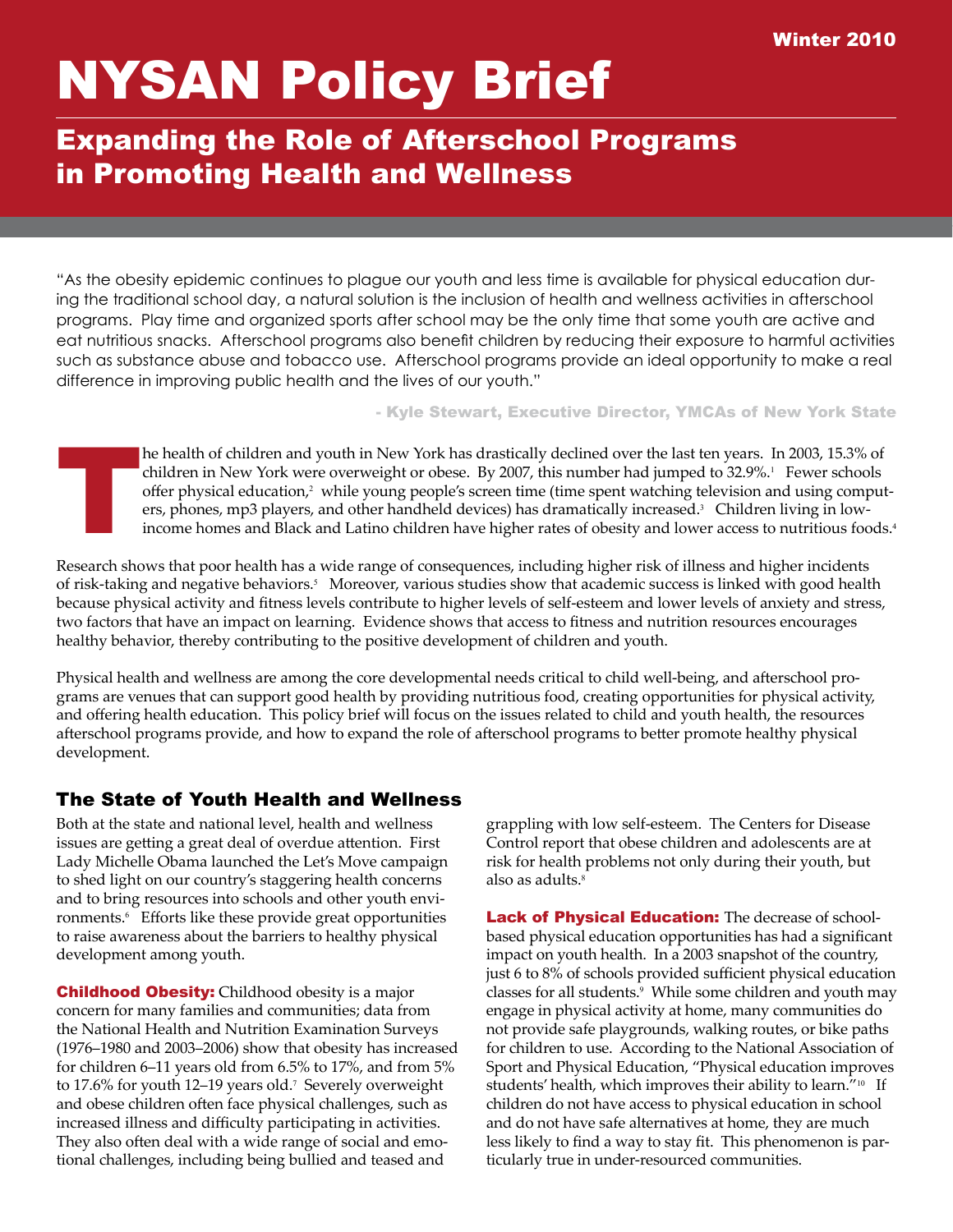# NYSAN Policy Brief

# Expanding the Role of Afterschool Programs in Promoting Health and Wellness

"As the obesity epidemic continues to plague our youth and less time is available for physical education during the traditional school day, a natural solution is the inclusion of health and wellness activities in afterschool programs. Play time and organized sports after school may be the only time that some youth are active and eat nutritious snacks. Afterschool programs also benefit children by reducing their exposure to harmful activities such as substance abuse and tobacco use. Afterschool programs provide an ideal opportunity to make a real difference in improving public health and the lives of our youth."

- Kyle Stewart, Executive Director, YMCAs of New York State

he health of children and youth in New York has drastically declined over the last ten years. In 2003, 15.3% of children in New York were overweight or obese. By 2007, this number had jumped to 32.9%. <sup>1</sup> Fewer schools offer physical education, $^2$  while young people's screen time (time spent watching television and using computers, phones, mp3 players, and other handheld devices) has dramatically increased. <sup>3</sup> Children living in lowincome homes and Black and Latino children have higher rates of obesity and lower access to nutritious foods. 4

Research shows that poor health has a wide range of consequences, including higher risk of illness and higher incidents of risk-taking and negative behaviors. <sup>5</sup> Moreover, various studies show that academic success is linked with good health because physical activity and fitness levels contribute to higher levels of self-esteem and lower levels of anxiety and stress, two factors that have an impact on learning. Evidence shows that access to fitness and nutrition resources encourages healthy behavior, thereby contributing to the positive development of children and youth.

Physical health and wellness are among the core developmental needs critical to child well-being, and afterschool programs are venues that can support good health by providing nutritious food, creating opportunities for physical activity, and offering health education. This policy brief will focus on the issues related to child and youth health, the resources afterschool programs provide, and how to expand the role of afterschool programs to better promote healthy physical development.

# The State of Youth Health and Wellness

Both at the state and national level, health and wellness issues are getting a great deal of overdue attention. First Lady Michelle Obama launched the Let's Move campaign to shed light on our country's staggering health concerns and to bring resources into schools and other youth environments.<sup>6</sup> Efforts like these provide great opportunities to raise awareness about the barriers to healthy physical development among youth.

**Childhood Obesity:** Childhood obesity is a major concern for many families and communities; data from the National Health and Nutrition Examination Surveys (1976–1980 and 2003–2006) show that obesity has increased for children 6–11 years old from 6.5% to 17%, and from 5% to 17.6% for youth 12–19 years old. <sup>7</sup> Severely overweight and obese children often face physical challenges, such as increased illness and difficulty participating in activities. They also often deal with a wide range of social and emotional challenges, including being bullied and teased and

grappling with low self-esteem. The Centers for Disease Control report that obese children and adolescents are at risk for health problems not only during their youth, but also as adults. 8

Lack of Physical Education: The decrease of schoolbased physical education opportunities has had a significant impact on youth health. In a 2003 snapshot of the country, just 6 to 8% of schools provided sufficient physical education classes for all students. <sup>9</sup> While some children and youth may engage in physical activity at home, many communities do not provide safe playgrounds, walking routes, or bike paths for children to use. According to the National Association of Sport and Physical Education, "Physical education improves students' health, which improves their ability to learn."<sup>10</sup> If children do not have access to physical education in school and do not have safe alternatives at home, they are much less likely to find a way to stay fit. This phenomenon is particularly true in under-resourced communities.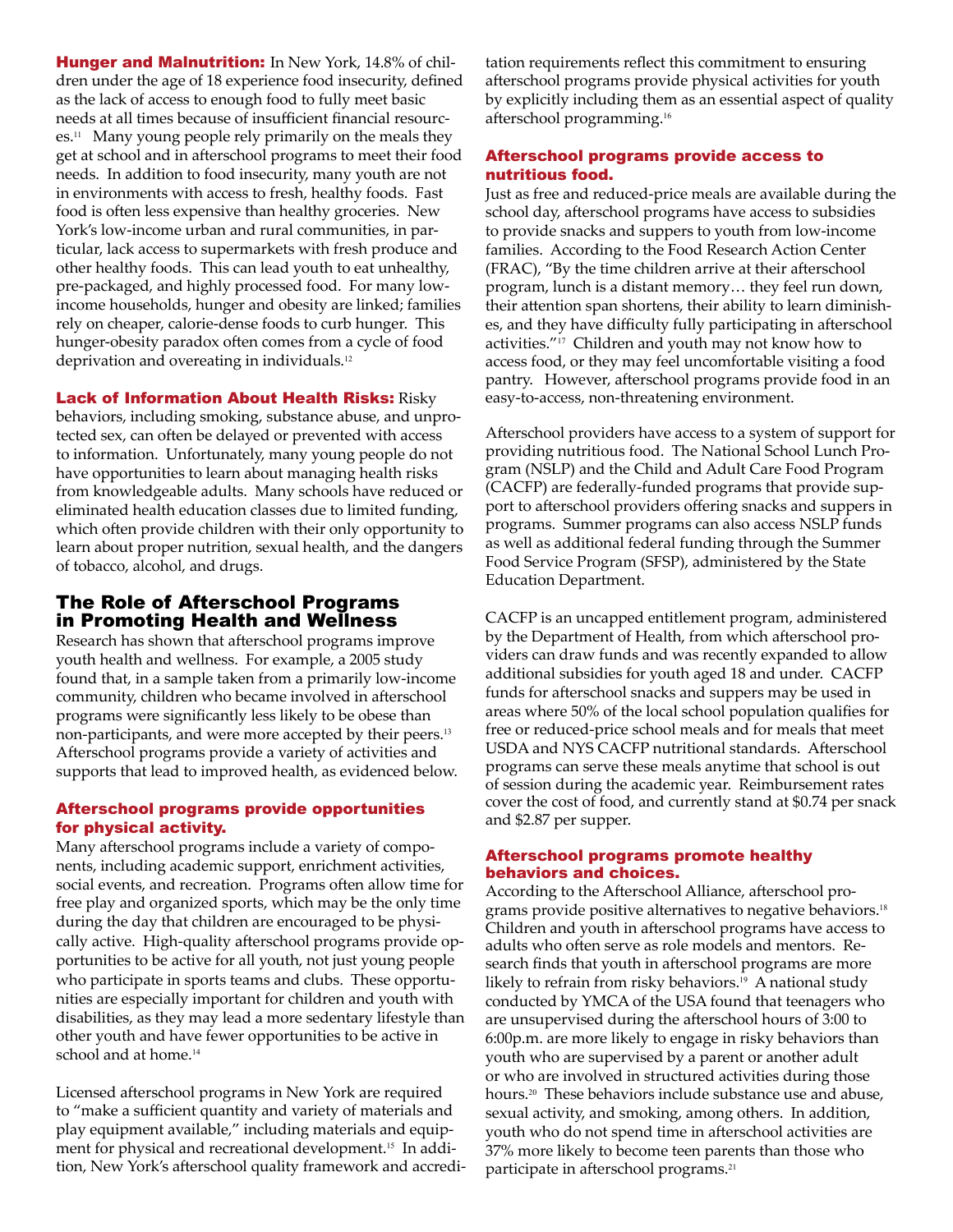Hunger and Malnutrition: In New York, 14.8% of children under the age of 18 experience food insecurity, defined as the lack of access to enough food to fully meet basic needs at all times because of insufficient financial resources. <sup>11</sup> Many young people rely primarily on the meals they get at school and in afterschool programs to meet their food needs. In addition to food insecurity, many youth are not in environments with access to fresh, healthy foods. Fast food is often less expensive than healthy groceries. New York's low-income urban and rural communities, in particular, lack access to supermarkets with fresh produce and other healthy foods. This can lead youth to eat unhealthy, pre-packaged, and highly processed food. For many lowincome households, hunger and obesity are linked; families rely on cheaper, calorie-dense foods to curb hunger. This hunger-obesity paradox often comes from a cycle of food deprivation and overeating in individuals. 12

Lack of Information About Health Risks: Risky

behaviors, including smoking, substance abuse, and unprotected sex, can often be delayed or prevented with access to information. Unfortunately, many young people do not have opportunities to learn about managing health risks from knowledgeable adults. Many schools have reduced or eliminated health education classes due to limited funding, which often provide children with their only opportunity to learn about proper nutrition, sexual health, and the dangers of tobacco, alcohol, and drugs.

# The Role of Afterschool Programs in Promoting Health and Wellness

Research has shown that afterschool programs improve youth health and wellness. For example, a 2005 study found that, in a sample taken from a primarily low-income community, children who became involved in afterschool programs were significantly less likely to be obese than non-participants, and were more accepted by their peers. 13 Afterschool programs provide a variety of activities and supports that lead to improved health, as evidenced below.

## Afterschool programs provide opportunities for physical activity.

Many afterschool programs include a variety of components, including academic support, enrichment activities, social events, and recreation. Programs often allow time for free play and organized sports, which may be the only time during the day that children are encouraged to be physically active. High-quality afterschool programs provide opportunities to be active for all youth, not just young people who participate in sports teams and clubs. These opportunities are especially important for children and youth with disabilities, as they may lead a more sedentary lifestyle than other youth and have fewer opportunities to be active in school and at home. 14

Licensed afterschool programs in New York are required to "make a sufficient quantity and variety of materials and play equipment available," including materials and equipment for physical and recreational development. <sup>15</sup> In addition, New York's afterschool quality framework and accredi-

tation requirements reflect this commitment to ensuring afterschool programs provide physical activities for youth by explicitly including them as an essential aspect of quality afterschool programming.<sup>16</sup>

#### Afterschool programs provide access to nutritious food.

Just as free and reduced-price meals are available during the school day, afterschool programs have access to subsidies to provide snacks and suppers to youth from low-income families. According to the Food Research Action Center (FRAC), "By the time children arrive at their afterschool program, lunch is a distant memory… they feel run down, their attention span shortens, their ability to learn diminishes, and they have difficulty fully participating in afterschool activities."<sup>17</sup> Children and youth may not know how to access food, or they may feel uncomfortable visiting a food pantry. However, afterschool programs provide food in an easy-to-access, non-threatening environment.

Afterschool providers have access to a system of support for providing nutritious food. The National School Lunch Program (NSLP) and the Child and Adult Care Food Program (CACFP) are federally-funded programs that provide support to afterschool providers offering snacks and suppers in programs. Summer programs can also access NSLP funds as well as additional federal funding through the Summer Food Service Program (SFSP), administered by the State Education Department.

CACFP is an uncapped entitlement program, administered by the Department of Health, from which afterschool providers can draw funds and was recently expanded to allow additional subsidies for youth aged 18 and under. CACFP funds for afterschool snacks and suppers may be used in areas where 50% of the local school population qualifies for free or reduced-price school meals and for meals that meet USDA and NYS CACFP nutritional standards. Afterschool programs can serve these meals anytime that school is out of session during the academic year. Reimbursement rates cover the cost of food, and currently stand at \$0.74 per snack and \$2.87 per supper.

#### Afterschool programs promote healthy behaviors and choices.

According to the Afterschool Alliance, afterschool programs provide positive alternatives to negative behaviors. 18 Children and youth in afterschool programs have access to adults who often serve as role models and mentors. Research finds that youth in afterschool programs are more likely to refrain from risky behaviors. <sup>19</sup> A national study conducted by YMCA of the USA found that teenagers who are unsupervised during the afterschool hours of 3:00 to 6:00p.m. are more likely to engage in risky behaviors than youth who are supervised by a parent or another adult or who are involved in structured activities during those hours. <sup>20</sup> These behaviors include substance use and abuse, sexual activity, and smoking, among others. In addition, youth who do not spend time in afterschool activities are 37% more likely to become teen parents than those who participate in afterschool programs.<sup>21</sup>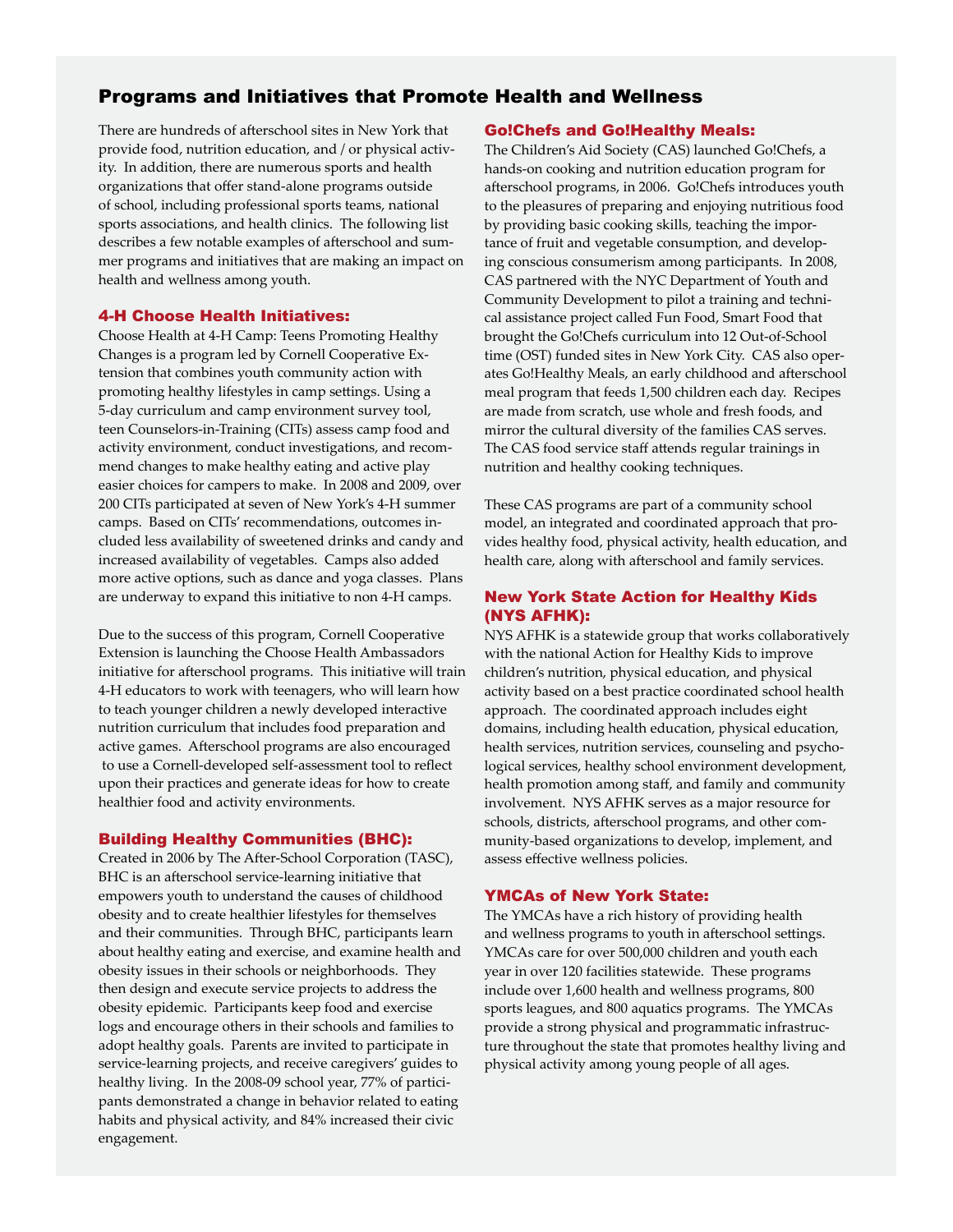# Programs and Initiatives that Promote Health and Wellness

There are hundreds of afterschool sites in New York that provide food, nutrition education, and / or physical activity. In addition, there are numerous sports and health organizations that offer stand-alone programs outside of school, including professional sports teams, national sports associations, and health clinics. The following list describes a few notable examples of afterschool and summer programs and initiatives that are making an impact on health and wellness among youth.

#### 4-H Choose Health Initiatives:

Choose Health at 4-H Camp: Teens Promoting Healthy Changes is a program led by Cornell Cooperative Extension that combines youth community action with promoting healthy lifestyles in camp settings. Using a 5-day curriculum and camp environment survey tool, teen Counselors-in-Training (CITs) assess camp food and activity environment, conduct investigations, and recommend changes to make healthy eating and active play easier choices for campers to make. In 2008 and 2009, over 200 CITs participated at seven of New York's 4-H summer camps. Based on CITs' recommendations, outcomes included less availability of sweetened drinks and candy and increased availability of vegetables. Camps also added more active options, such as dance and yoga classes. Plans are underway to expand this initiative to non 4-H camps.

Due to the success of this program, Cornell Cooperative Extension is launching the Choose Health Ambassadors initiative for afterschool programs. This initiative will train 4-H educators to work with teenagers, who will learn how to teach younger children a newly developed interactive nutrition curriculum that includes food preparation and active games. Afterschool programs are also encouraged to use a Cornell-developed self-assessment tool to reflect upon their practices and generate ideas for how to create healthier food and activity environments.

#### Building Healthy Communities (BHC):

Created in 2006 by The After-School Corporation (TASC), BHC is an afterschool service-learning initiative that empowers youth to understand the causes of childhood obesity and to create healthier lifestyles for themselves and their communities. Through BHC, participants learn about healthy eating and exercise, and examine health and obesity issues in their schools or neighborhoods. They then design and execute service projects to address the obesity epidemic. Participants keep food and exercise logs and encourage others in their schools and families to adopt healthy goals. Parents are invited to participate in service-learning projects, and receive caregivers' guides to healthy living. In the 2008-09 school year, 77% of participants demonstrated a change in behavior related to eating habits and physical activity, and 84% increased their civic engagement.

#### Go!Chefs and Go!Healthy Meals:

The Children's Aid Society (CAS) launched Go!Chefs, a hands-on cooking and nutrition education program for afterschool programs, in 2006. Go!Chefs introduces youth to the pleasures of preparing and enjoying nutritious food by providing basic cooking skills, teaching the importance of fruit and vegetable consumption, and developing conscious consumerism among participants. In 2008, CAS partnered with the NYC Department of Youth and Community Development to pilot a training and technical assistance project called Fun Food, Smart Food that brought the Go!Chefs curriculum into 12 Out-of-School time (OST) funded sites in New York City. CAS also operates Go!Healthy Meals, an early childhood and afterschool meal program that feeds 1,500 children each day. Recipes are made from scratch, use whole and fresh foods, and mirror the cultural diversity of the families CAS serves. The CAS food service staff attends regular trainings in nutrition and healthy cooking techniques.

These CAS programs are part of a community school model, an integrated and coordinated approach that provides healthy food, physical activity, health education, and health care, along with afterschool and family services.

#### New York State Action for Healthy Kids (NYS AFHK):

NYS AFHK is a statewide group that works collaboratively with the national Action for Healthy Kids to improve children's nutrition, physical education, and physical activity based on a best practice coordinated school health approach. The coordinated approach includes eight domains, including health education, physical education, health services, nutrition services, counseling and psychological services, healthy school environment development, health promotion among staff, and family and community involvement. NYS AFHK serves as a major resource for schools, districts, afterschool programs, and other community-based organizations to develop, implement, and assess effective wellness policies.

#### YMCAs of New York State:

The YMCAs have a rich history of providing health and wellness programs to youth in afterschool settings. YMCAs care for over 500,000 children and youth each year in over 120 facilities statewide. These programs include over 1,600 health and wellness programs, 800 sports leagues, and 800 aquatics programs. The YMCAs provide a strong physical and programmatic infrastructure throughout the state that promotes healthy living and physical activity among young people of all ages.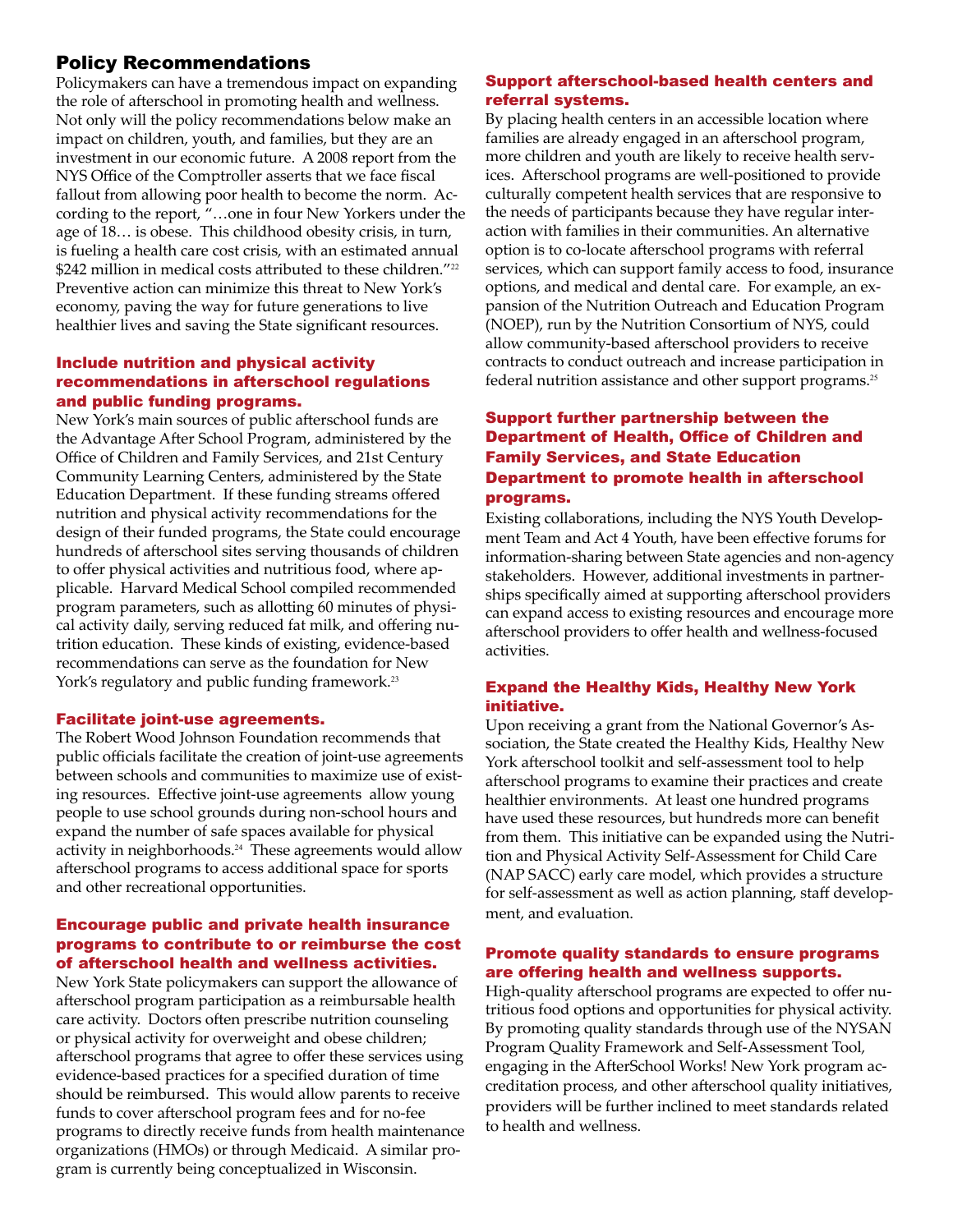# Policy Recommendations

Policymakers can have a tremendous impact on expanding the role of afterschool in promoting health and wellness. Not only will the policy recommendations below make an impact on children, youth, and families, but they are an investment in our economic future. A 2008 report from the NYS Office of the Comptroller asserts that we face fiscal fallout from allowing poor health to become the norm. According to the report, "…one in four New Yorkers under the age of 18… is obese. This childhood obesity crisis, in turn, is fueling a health care cost crisis, with an estimated annual \$242 million in medical costs attributed to these children."<sup>22</sup> Preventive action can minimize this threat to New York's economy, paving the way for future generations to live healthier lives and saving the State significant resources.

#### Include nutrition and physical activity recommendations in afterschool regulations and public funding programs.

New York's main sources of public afterschool funds are the Advantage After School Program, administered by the Office of Children and Family Services, and 21st Century Community Learning Centers, administered by the State Education Department. If these funding streams offered nutrition and physical activity recommendations for the design of their funded programs, the State could encourage hundreds of afterschool sites serving thousands of children to offer physical activities and nutritious food, where applicable. Harvard Medical School compiled recommended program parameters, such as allotting 60 minutes of physical activity daily, serving reduced fat milk, and offering nutrition education. These kinds of existing, evidence-based recommendations can serve as the foundation for New York's regulatory and public funding framework. 23

#### Facilitate joint-use agreements.

The Robert Wood Johnson Foundation recommends that public officials facilitate the creation of joint-use agreements between schools and communities to maximize use of existing resources. Effective joint-use agreements allow young people to use school grounds during non-school hours and expand the number of safe spaces available for physical activity in neighborhoods. <sup>24</sup> These agreements would allow afterschool programs to access additional space for sports and other recreational opportunities.

#### Encourage public and private health insurance programs to contribute to or reimburse the cost of afterschool health and wellness activities.

New York State policymakers can support the allowance of afterschool program participation as a reimbursable health care activity. Doctors often prescribe nutrition counseling or physical activity for overweight and obese children; afterschool programs that agree to offer these services using evidence-based practices for a specified duration of time should be reimbursed. This would allow parents to receive funds to cover afterschool program fees and for no-fee programs to directly receive funds from health maintenance organizations (HMOs) or through Medicaid. A similar program is currently being conceptualized in Wisconsin.

#### Support afterschool-based health centers and referral systems.

By placing health centers in an accessible location where families are already engaged in an afterschool program, more children and youth are likely to receive health services. Afterschool programs are well-positioned to provide culturally competent health services that are responsive to the needs of participants because they have regular interaction with families in their communities. An alternative option is to co-locate afterschool programs with referral services, which can support family access to food, insurance options, and medical and dental care. For example, an expansion of the Nutrition Outreach and Education Program (NOEP), run by the Nutrition Consortium of NYS, could allow community-based afterschool providers to receive contracts to conduct outreach and increase participation in federal nutrition assistance and other support programs. 25

## Support further partnership between the Department of Health, Office of Children and Family Services, and State Education Department to promote health in afterschool programs.

Existing collaborations, including the NYS Youth Development Team and Act 4 Youth, have been effective forums for information-sharing between State agencies and non-agency stakeholders. However, additional investments in partnerships specifically aimed at supporting afterschool providers can expand access to existing resources and encourage more afterschool providers to offer health and wellness-focused activities.

#### Expand the Healthy Kids, Healthy New York initiative.

Upon receiving a grant from the National Governor's Association, the State created the Healthy Kids, Healthy New York afterschool toolkit and self-assessment tool to help afterschool programs to examine their practices and create healthier environments. At least one hundred programs have used these resources, but hundreds more can benefit from them. This initiative can be expanded using the Nutrition and Physical Activity Self-Assessment for Child Care (NAP SACC) early care model, which provides a structure for self-assessment as well as action planning, staff development, and evaluation.

#### Promote quality standards to ensure programs are offering health and wellness supports.

High-quality afterschool programs are expected to offer nutritious food options and opportunities for physical activity. By promoting quality standards through use of the NYSAN Program Quality Framework and Self-Assessment Tool, engaging in the AfterSchool Works! New York program accreditation process, and other afterschool quality initiatives, providers will be further inclined to meet standards related to health and wellness.